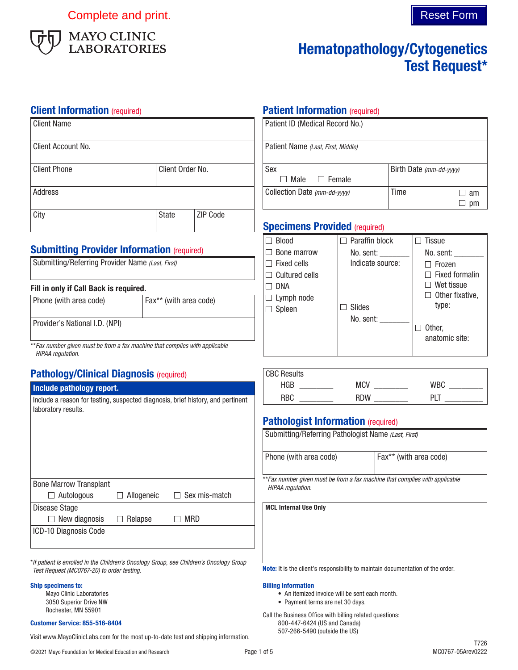Complete and print. Complete and print.



# Hematopathology/Cytogenetics Test Request\*

#### **Client Information** (required)

| Client Name         |                  |          |
|---------------------|------------------|----------|
| Client Account No.  |                  |          |
| <b>Client Phone</b> | Client Order No. |          |
| <b>Address</b>      |                  |          |
| City                | <b>State</b>     | ZIP Code |

### **Submitting Provider Information (required)**

| Submitting/Referring Provider Name (Last, First) |
|--------------------------------------------------|
|                                                  |

#### Fill in only if Call Back is required.

| Phone (with area code)         | Fax** (with area code) |  |  |
|--------------------------------|------------------------|--|--|
| Provider's National I.D. (NPI) |                        |  |  |
|                                |                        |  |  |

\*\**Fax number given must be from a fax machine that complies with applicable HIPAA regulation.*

# Pathology/Clinical Diagnosis (required)

#### Include pathology report.

| Include a reason for testing, suspected diagnosis, brief history, and pertinent |  |
|---------------------------------------------------------------------------------|--|
| laboratory results.                                                             |  |

| <b>Bone Marrow Transplant</b> |                   |                      |
|-------------------------------|-------------------|----------------------|
| $\Box$ Autologous             | $\Box$ Allogeneic | $\Box$ Sex mis-match |
| Disease Stage                 |                   |                      |
| $\Box$ New diagnosis          | $\Box$ Relapse    | MRD                  |
| ICD-10 Diagnosis Code         |                   |                      |
|                               |                   |                      |

\**If patient is enrolled in the Children's Oncology Group, see Children's Oncology Group Test Request (MC0767-20) to order testing.*

#### Ship specimens to:

Mayo Clinic Laboratories 3050 Superior Drive NW Rochester, MN 55901

#### Customer Service: 855-516-8404

507-266-5490 (outside the US) Visit www.MayoClinicLabs.com for the most up-to-date test and shipping information.

# **Patient Information (required)**

| Patient ID (Medical Record No.)    |                         |    |
|------------------------------------|-------------------------|----|
| Patient Name (Last, First, Middle) |                         |    |
| Sex                                | Birth Date (mm-dd-yyyy) |    |
| $\Box$ Male<br>$\Box$ Female       |                         |    |
| Collection Date (mm-dd-yyyy)       | Time                    | am |
|                                    |                         |    |

## **Specimens Provided (required)**

| <b>Blood</b>          | $\Box$ Paraffin block | Tissue                     |
|-----------------------|-----------------------|----------------------------|
| Bone marrow           | No. sent:             | No. sent:                  |
| Fixed cells           | Indicate source:      | Frozen                     |
| $\Box$ Cultured cells |                       | $\sqsupset$ Fixed formalin |
| <b>DNA</b>            |                       | Wet tissue                 |
| $\Box$ Lymph node     |                       | $\Box$ Other fixative,     |
| $\Box$ Spleen         | Slides                | type:                      |
|                       | No. sent:             |                            |
|                       |                       | Other,                     |
|                       |                       | anatomic site:             |
|                       |                       |                            |

| <b>CBC Results</b> |            |     |
|--------------------|------------|-----|
| <b>HGB</b>         | <b>MCV</b> | WR( |
| RBC                | <b>RDW</b> | DI  |

### **Pathologist Information (required)**

| Submitting/Referring Pathologist Name (Last, First) |                        |
|-----------------------------------------------------|------------------------|
| Phone (with area code)                              | Fax** (with area code) |

\*\**Fax number given must be from a fax machine that complies with applicable HIPAA regulation.*

MCL Internal Use Only

Note: It is the client's responsibility to maintain documentation of the order.

#### Billing Information

- An itemized invoice will be sent each month.
- Payment terms are net 30 days.

Call the Business Office with billing related questions: 800-447-6424 (US and Canada)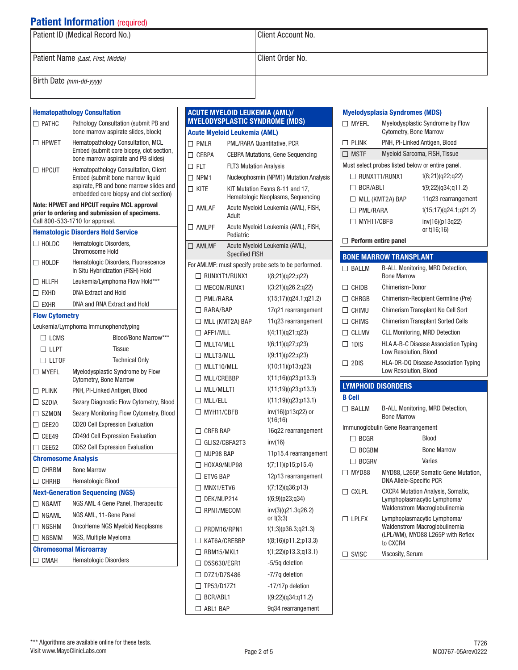| Patient ID (Medical Record No.)    | Client Account No. |
|------------------------------------|--------------------|
| Patient Name (Last, First, Middle) | Client Order No.   |
| Birth Date (mm-dd-yyyy)            |                    |

 $\Box$  $\Box$  $\Box$  $\Box$  $\Box$ 

 $\Box$ 

 $\Box$ 

 $\Box$ 

#### Hematopathology Consultation □ PATHC Pathology Consultation (submit PB and bone marrow aspirate slides, block)  $\Box$  HPWET Hematopathology Consultation, MCL Embed (submit core biopsy, clot section, bone marrow aspirate and PB slides)  $\Box$  HPCUT Hematopathology Consultation, Client Embed (submit bone marrow liquid aspirate, PB and bone marrow slides and embedded core biopsy and clot section) Note: HPWET and HPCUT require MCL approval prior to ordering and submission of specimens. Call 800-533-1710 for approval. Hematologic Disorders Hold Service  $\Box$  HOLDC Hematologic Disorders, Chromosome Hold □ HOLDF Hematologic Disorders, Fluorescence In Situ Hybridization (FISH) Hold □ HLLFH Leukemia/Lymphoma Flow Hold\*\*\* EXHD DNA Extract and Hold □ EXHR DNA and RNA Extract and Hold Flow Cytometry Leukemia/Lymphoma Immunophenotyping □ LCMS Blood/Bone Marrow\*\*\*  $\Box$  LLPT Tissue □ LLTOF Technical Only **MYEFL** Myelodysplastic Syndrome by Flow Cytometry, Bone Marrow □ PLINK PNH, PI-Linked Antigen, Blood □ SZDIA Sezary Diagnostic Flow Cytometry, Blood □ SZMON Sezary Monitoring Flow Cytometry, Blood CEE20 CD20 Cell Expression Evaluation □ CEE49 CD49d Cell Expression Evaluation CEE52 CD52 Cell Expression Evaluation Chromosome Analysis □ CHRBM Bone Marrow CHRHB Hematologic Blood Next-Generation Sequencing (NGS) □ NGAMT NGS AML 4 Gene Panel, Therapeutic □ NGAML NGS AML, 11-Gene Panel □ NGSHM OncoHeme NGS Myeloid Neoplasms  $\Box$  NGSMM NGS, Multiple Myeloma Chromosomal Microarray CMAH Hematologic Disorders

|                                     |                               | <b>ACUTE MYELOID LEUKEMIA (AML)/</b><br><b>MYELODYSPLASTIC SYNDROME (MDS)</b> |
|-------------------------------------|-------------------------------|-------------------------------------------------------------------------------|
| <b>Acute Myeloid Leukemia (AML)</b> |                               |                                                                               |
| $\square$ PMLR                      |                               | PML/RARA Quantitative, PCR                                                    |
| $\Box$ cebpa                        |                               | <b>CEBPA Mutations, Gene Sequencing</b>                                       |
| $\Box$ FLT                          | <b>FLT3 Mutation Analysis</b> |                                                                               |
| $\square$ NPM1                      |                               | Nucleophosmin (NPM1) Mutation Analysis                                        |
| $\Box$ kite                         |                               | KIT Mutation Exons 8-11 and 17,<br>Hematologic Neoplasms, Sequencing          |
| $\Box$ AMLAF                        | Adult                         | Acute Myeloid Leukemia (AML), FISH,                                           |
| $\square$ amlpf                     | Pediatric                     | Acute Myeloid Leukemia (AML), FISH,                                           |
| $\Box$ AMLMF                        | <b>Specified FISH</b>         | Acute Myeloid Leukemia (AML),                                                 |
|                                     |                               | For AMLMF: must specify probe sets to be performed.                           |
| $\Box$ RUNX1T1/RUNX1                |                               | t(8;21)(q22;q22)                                                              |
| $\Box$ MECOM/RUNX1                  |                               | t(3;21)(q26.2;q22)                                                            |
| $\Box$ PML/RARA                     |                               | t(15;17)(q24.1;q21.2)                                                         |
| $\Box$ RARA/BAP                     |                               | 17q21 rearrangement                                                           |
| $\Box$ MLL (KMT2A) BAP              |                               | 11g23 rearrangement                                                           |
| $\Box$ AFF1/MLL                     |                               | t(4;11)(q21;q23)                                                              |
| $\Box$ MLLT4/MLL                    |                               | t(6;11)(q27;q23)                                                              |
| $\Box$ MLLT3/MLL                    |                               | t(9;11)(p22;q23)                                                              |
| $\Box$ MLLT10/MLL                   |                               | t(10;11)(p13;q23)                                                             |
| $\Box$ MLL/CREBBP                   |                               | t(11;16)(q23;p13.3)                                                           |
| $\Box$ MLL/MLLT1                    |                               | t(11;19)(q23;p13.3)                                                           |
| $\Box$ MLL/ELL                      |                               | t(11;19)(q23;p13.1)                                                           |
| $\Box$ MYH11/CBFB                   |                               | inv(16)(p13q22) or<br>t(16;16)                                                |
| $\Box$ CBFR BAP                     |                               | 16q22 rearrangement                                                           |
| $\Box$ GLIS2/CBFA2T3                |                               | inv(16)                                                                       |
| $\Box$ NUP98 BAP                    |                               | 11p15.4 rearrangement                                                         |
| □ HOXA9/NUP98                       |                               | t(7;11)(p15;p15.4)                                                            |
| $\Box$ ETV6 BAP                     |                               | 12p13 rearrangement                                                           |
| $\Box$ MNX1/ETV6                    |                               | t(7;12)(q36;p13)                                                              |
| $\Box$ DEK/NUP214                   |                               | t(6;9)(p23;q34)                                                               |
| $\Box$ RPN1/MECOM                   |                               | inv(3)(q21.3q26.2)<br>or $t(3;3)$                                             |
| $\Box$ PRDM16/RPN1                  |                               | t(1;3)(p36.3;q21.3)                                                           |
| $\Box$ KAT6A/CREBBP                 |                               | t(8;16)(p11.2;p13.3)                                                          |
| $\Box$ RBM15/MKL1                   |                               | t(1;22)(p13.3;q13.1)                                                          |
| $\Box$ D5S630/EGR1                  |                               | -5/5q deletion                                                                |
| □ D7Z1/D7S486                       |                               | -7/7q deletion                                                                |
| $\Box$ TP53/D17Z1                   |                               | -17/17p deletion                                                              |
| $\Box$ BCR/ABL1                     |                               | t(9;22)(q34;q11.2)                                                            |
| $\Box$ ABL1 BAP                     |                               | 9q34 rearrangement                                                            |
|                                     |                               |                                                                               |

#### **MYEFL** Myelodysplastic Syndrome by Flow Cytometry, Bone Marrow □ PLINK PNH, PI-Linked Antigen, Blood □ MSTF Myeloid Sarcoma, FISH, Tissue Must select probes listed below or entire panel.  $\Box$  RUNX1T1/RUNX1  $t(8;21)(q22;q22)$  $\Box$  BCR/ABL1 t(9;22)(q34;q11.2) □ MLL (KMT2A) BAP 11q23 rearrangement  $\Box$  PML/RARA t(15;17)(q24.1;q21.2)  $\Box$  MYH11/CBFB inv(16)(p13q22) or t(16;16)  $\Box$  Perform entire panel BONE MARROW TRANSPLANT □ BALLM B-ALL Monitoring, MRD Detection, Bone Marrow □ CHIDB Chimerism-Donor CHRGB Chimerism-Recipient Germline (Pre) □ CHIMU Chimerism Transplant No Cell Sort □ CHIMS Chimerism Transplant Sorted Cells □ CLLMV CLL Monitoring, MRD Detection □ 1DIS HLA A-B-C Disease Association Typing Low Resolution, Blood 2DIS HLA-DR-DQ Disease Association Typing Low Resolution, Blood LYMPHOID DISORDERS B Cell □ BALLM B-ALL Monitoring, MRD Detection, Bone Marrow Immunoglobulin Gene Rearrangement □ BCGR Blood □ BCGBM Bone Marrow □ BCGRV Varies □ MYD88 MYD88, L265P, Somatic Gene Mutation, DNA Allele-Specific PCR CXLPL CXCR4 Mutation Analysis, Somatic, Lymphoplasmacytic Lymphoma/

Waldenstrom Macroglobulinemia

Waldenstrom Macroglobulinemia (LPL/WM), MYD88 L265P with Reflex

 $\Box$  I PI FX Lymphoplasmacytic Lymphoma/

to CXCR4  $\Box$  SVISC Viscosity, Serum

Myelodysplasia Syndromes (MDS)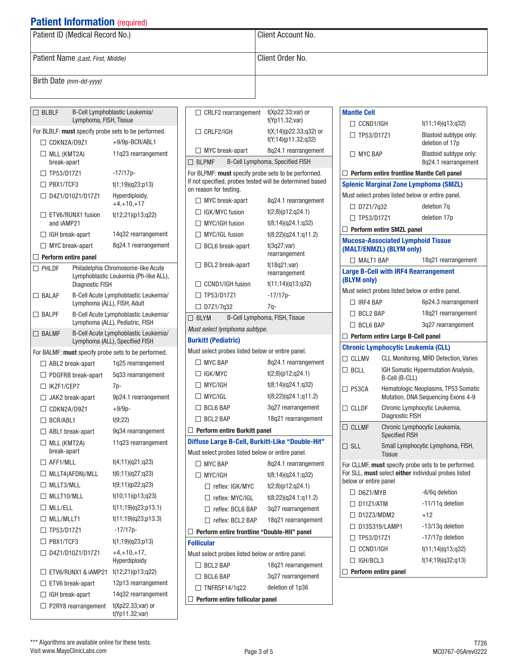|                                                       | <b>Patient Information</b> (required) |                                                                         |                                                     |                                                                       |                       |                                           |                                                      |
|-------------------------------------------------------|---------------------------------------|-------------------------------------------------------------------------|-----------------------------------------------------|-----------------------------------------------------------------------|-----------------------|-------------------------------------------|------------------------------------------------------|
| Patient ID (Medical Record No.)                       |                                       |                                                                         | Client Account No.                                  |                                                                       |                       |                                           |                                                      |
| Patient Name (Last, First, Middle)                    |                                       | Client Order No.                                                        |                                                     |                                                                       |                       |                                           |                                                      |
| Birth Date (mm-dd-yyyy)                               |                                       |                                                                         |                                                     |                                                                       |                       |                                           |                                                      |
|                                                       |                                       |                                                                         |                                                     |                                                                       |                       |                                           |                                                      |
| $\Box$ BLBLF                                          |                                       | B-Cell Lymphoblastic Leukemia/                                          | $\Box$ CRLF2 rearrangement                          | $t(Xp22.33; var)$ or                                                  | <b>Mantle Cell</b>    |                                           |                                                      |
|                                                       | Lymphoma, FISH, Tissue                |                                                                         |                                                     | t(Yp11.32; var)                                                       |                       | $\Box$ CCND1/IGH<br>t(11:14)(q13:q32)     |                                                      |
| $\Box$ CDKN2A/D9Z1                                    |                                       | For BLBLF: must specify probe sets to be performed.<br>+9/9p-BCR/ABL1   |                                                     | $\Box$ CRLF2/IGH<br>$t(X; 14)$ (p22.33;q32) or<br>t(Y;14)(p11.32;q32) |                       | $\Box$ TP53/D17Z1                         | Blastoid subtype only:<br>deletion of 17p            |
| $\Box$ MLL (KMT2A)<br>break-apart                     |                                       | 11q23 rearrangement                                                     | $\Box$ MYC break-apart<br>$\Box$ BLPMF              | 8q24.1 rearrangement<br>B-Cell Lymphoma, Specified FISH               | $\Box$ MYC BAP        |                                           | Blastoid subtype only:<br>8q24.1 rearrangement       |
| $\Box$ TP53/D17Z1                                     |                                       | $-17/17p-$                                                              | For BLPMF: must specify probe sets to be performed. |                                                                       |                       |                                           | $\Box$ Perform entire frontline Mantle Cell panel    |
| $\Box$ PBX1/TCF3                                      |                                       | t(1;19)(q23;p13)                                                        |                                                     | If not specified, probes tested will be determined based              |                       |                                           | <b>Splenic Marginal Zone Lymphoma (SMZL)</b>         |
|                                                       | $\Box$ D4Z1/D10Z1/D17Z1               | Hyperdiploidy,                                                          | on reason for testing.                              |                                                                       |                       |                                           | Must select probes listed below or entire panel.     |
|                                                       |                                       | $+4, +10, +17$                                                          | $\Box$ MYC break-apart                              | 8q24.1 rearrangement                                                  | $\Box$ D7Z1/7q32      |                                           | deletion 7q                                          |
|                                                       | $\Box$ ETV6/RUNX1 fusion              | t(12;21)(p13;q22)                                                       | $\Box$ IGK/MYC fusion                               | t(2;8)(p12;q24.1)                                                     | $\Box$ TP53/D17Z1     |                                           | deletion 17p                                         |
| and iAMP21                                            |                                       |                                                                         | $\Box$ MYC/IGH fusion                               | t(8;14)(q24.1;q32)                                                    |                       | $\Box$ Perform entire SMZL panel          |                                                      |
| $\Box$ IGH break-apart                                |                                       | 14q32 rearrangement                                                     | $\Box$ MYC/IGL fusion                               | t(8;22)(q24.1;q11.2)                                                  |                       | <b>Mucosa-Associated Lymphoid Tissue</b>  |                                                      |
| $\Box$ MYC break-apart<br>$\Box$ Perform entire panel |                                       | 8q24.1 rearrangement                                                    | $\Box$ BCL6 break-apart                             | t(3q27; var)<br>rearrangement                                         |                       | (MALT/ENMZL) (BLYM only)                  |                                                      |
| $\square$ PHLDF                                       |                                       | Philadelphia Chromosome-like Acute                                      | $\Box$ BCL2 break-apart                             | t(18q21; var)                                                         | $\Box$ MALT1 BAP      |                                           | 18q21 rearrangement                                  |
|                                                       | <b>Diagnostic FISH</b>                | Lymphoblastic Leukemia (Ph-like ALL),                                   | $\Box$ CCND1/IGH fusion                             | rearrangement<br>t(11;14)(q13;q32)                                    | (BLYM only)           |                                           | <b>Large B-Cell with IRF4 Rearrangement</b>          |
| $\Box$ BALAF                                          |                                       | B-Cell Acute Lymphoblastic Leukemia/                                    | □ TP53/D17Z1                                        | Must select probes listed below or entire panel.<br>$-17/17p-$        |                       |                                           |                                                      |
|                                                       | Lymphoma (ALL), FISH, Adult           |                                                                         | $\Box$ D7Z1/7q32                                    | $7q-$                                                                 |                       | 6p24.3 rearrangement<br>$\Box$ IRF4 BAP   |                                                      |
| B-Cell Acute Lymphoblastic Leukemia/<br>$\Box$ BALPF  |                                       |                                                                         | $\Box$ BLYM<br>B-Cell Lymphoma, FISH, Tissue        |                                                                       | $\Box$ BCL2 BAP       |                                           | 18q21 rearrangement                                  |
|                                                       |                                       | Lymphoma (ALL), Pediatric, FISH<br>B-Cell Acute Lymphoblastic Leukemia/ | Must select lymphoma subtype.                       |                                                                       | $\Box$ BCL6 BAP       |                                           | 3q27 rearrangement                                   |
| $\square$ BALMF                                       |                                       | Lymphoma (ALL), Specified FISH                                          | <b>Burkitt (Pediatric)</b>                          |                                                                       |                       | $\Box$ Perform entire Large B-Cell panel  |                                                      |
|                                                       |                                       | For BALMF: must specify probe sets to be performed.                     | Must select probes listed below or entire panel.    |                                                                       |                       | <b>Chronic Lymphocytic Leukemia (CLL)</b> |                                                      |
| $\Box$ ABL2 break-apart                               |                                       | 1q25 rearrangement                                                      | $\Box$ MYC BAP                                      | 8q24.1 rearrangement                                                  | $\Box$ CLLMV          |                                           | CLL Monitoring, MRD Detection, Varies                |
|                                                       | $\Box$ PDGFRB break-apart             | 5q33 rearrangement                                                      | $\Box$ IGK/MYC                                      | t(2;8)(p12;q24.1)                                                     | $\Box$ BCLL           | B-Cell (B-CLL)                            | IGH Somatic Hypermutation Analysis,                  |
| $\Box$ IKZF1/CEP7                                     |                                       | $7p-$                                                                   | $\Box$ MYC/IGH                                      | t(8;14)(q24.1;q32)                                                    | $\Box$ P53CA          |                                           | Hematologic Neoplasms, TP53 Somatic                  |
|                                                       | JAK2 break-apart                      | 9p24.1 rearrangement                                                    | $\Box$ MYC/IGL                                      | t(8;22)(q24.1;q11.2)                                                  |                       |                                           | Mutation, DNA Sequencing Exons 4-9                   |
| $\Box$ CDKN2A/D9Z1                                    |                                       | $+9/9p-$                                                                | $\Box$ BCL6 BAP                                     | 3q27 rearrangement                                                    | $\Box$ CLLDF          | <b>Diagnostic FISH</b>                    | Chronic Lymphocytic Leukemia,                        |
| $\Box$ BCR/ABL1                                       |                                       | t(9;22)                                                                 | $\Box$ BCL2 BAP                                     | 18q21 rearrangement                                                   | $\Box$ CLLMF          |                                           | Chronic Lymphocytic Leukemia,                        |
| $\Box$ ABL1 break-apart                               |                                       | 9q34 rearrangement                                                      |                                                     | $\Box$ Perform entire Burkitt panel                                   |                       | <b>Specified FISH</b>                     |                                                      |
| $\Box$ MLL (KMT2A)<br>break-apart                     |                                       | 11q23 rearrangement                                                     | Must select probes listed below or entire panel.    | Diffuse Large B-Cell, Burkitt-Like "Double-Hit"                       | $\Box$ SLL            | <b>Tissue</b>                             | Small Lymphocytic Lymphoma, FISH,                    |
| $\Box$ AFF1/MLL                                       |                                       | t(4;11)(q21;q23)                                                        | $\Box$ MYC BAP                                      | 8q24.1 rearrangement                                                  |                       |                                           | For CLLMF, must specify probe sets to be performed.  |
|                                                       | $\Box$ MLLT4(AFDN)/MLL                | t(6;11)(q27;q23)                                                        | $\Box$ MYC/IGH                                      | t(8;14)(q24.1;q32)                                                    |                       |                                           | For SLL, must select either individual probes listed |
| $\Box$ MLLT3/MLL                                      |                                       | t(9;11)(p22;q23)                                                        | $\Box$ reflex: IGK/MYC                              | t(2;8)(p12;q24.1)                                                     | below or entire panel |                                           |                                                      |
| $\Box$ MLLT10/MLL                                     |                                       | t(10;11)(p13;q23)                                                       | $\Box$ reflex: MYC/IGL                              | t(8;22)(q24.1;q11.2)                                                  | $\Box$ D6Z1/MYB       |                                           | -6/6q deletion                                       |
| $\Box$ MLL/ELL                                        |                                       | t(11;19)(q23;p13.1)                                                     | $\Box$ reflex: BCL6 BAP                             | 3q27 rearrangement                                                    | $\Box$ D11Z1/ATM      |                                           | -11/11q deletion                                     |
| $\Box$ MLL/MLLT1<br>t(11;19)(q23;p13.3)               |                                       | $\Box$ reflex: BCL2 BAP                                                 | 18q21 rearrangement                                 |                                                                       | $\Box$ D12Z3/MDM2     | $+12$                                     |                                                      |
| □ TP53/D17Z1                                          |                                       | $-17/17p-$                                                              | $\Box$ Perform entire frontline "Double-Hit" panel  |                                                                       |                       | □ D13S319/LAMP1                           | -13/13q deletion                                     |
| $\Box$ PBX1/TCF3<br>t(1;19)(q23;p13)                  |                                       | <b>Follicular</b>                                                       |                                                     | $\Box$ TP53/D17Z1                                                     |                       | -17/17p deletion                          |                                                      |
|                                                       | $\Box$ D4Z1/D10Z1/D17Z1               | $+4, +10, +17,$                                                         | Must select probes listed below or entire panel.    |                                                                       | $\Box$ CCND1/IGH      |                                           | t(11;14)(q13;q32)                                    |
|                                                       |                                       | Hyperdiploidy                                                           | $\Box$ BCL2 BAP                                     | 18q21 rearrangement                                                   |                       | $\Box$ IGH/BCL3<br>t(14;19)(q32;q13)      |                                                      |
|                                                       |                                       | $\Box$ ETV6/RUNX1 & iAMP21 t(12;21)(p13;q22)                            | $\Box$ BCL6 BAP                                     | 3q27 rearrangement                                                    |                       | $\Box$ Perform entire panel               |                                                      |
| $\Box$ ETV6 break-apart                               |                                       | 12p13 rearrangement                                                     | $\Box$ TNFRSF14/1q22                                | deletion of 1p36                                                      |                       |                                           |                                                      |
| $\Box$ IGH break-apart                                |                                       | 14q32 rearrangement<br>$L(N_{m} \cap \cap \cap \dots \cap \dots)$       | $\Box$ Perform entire follicular panel              |                                                                       |                       |                                           |                                                      |

P2RY8 rearrangement t(Xp22.33;var) or

t(Yp11.32;var)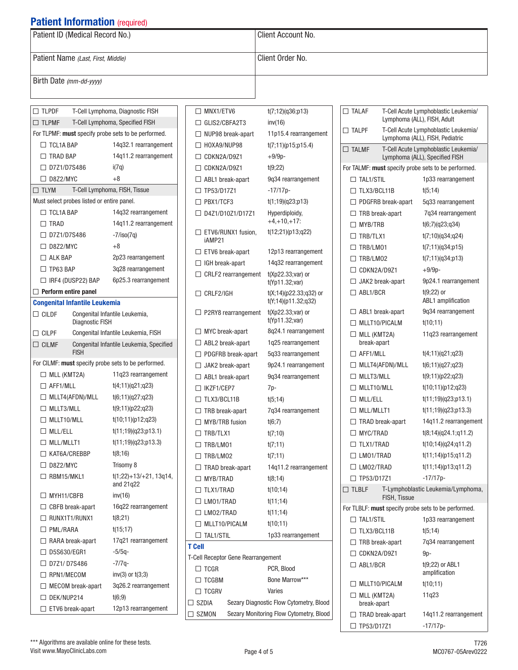| <b>I QUUIL IIIIUI IIIQUUI (Cuulcu)</b>                               |                                                     |                                           |                                         |                                                     |                                                                         |
|----------------------------------------------------------------------|-----------------------------------------------------|-------------------------------------------|-----------------------------------------|-----------------------------------------------------|-------------------------------------------------------------------------|
| Patient ID (Medical Record No.)                                      |                                                     |                                           | Client Account No.                      |                                                     |                                                                         |
| Patient Name (Last, First, Middle)                                   |                                                     |                                           | Client Order No.                        |                                                     |                                                                         |
| Birth Date (mm-dd-yyyy)                                              |                                                     |                                           |                                         |                                                     |                                                                         |
|                                                                      |                                                     |                                           |                                         |                                                     |                                                                         |
| $\Box$ TLPDF<br>T-Cell Lymphoma, Diagnostic FISH<br>$\Box$ MNX1/ETV6 |                                                     |                                           | t(7;12)(q36;p13)                        | $\Box$ TALAF                                        | T-Cell Acute Lymphoblastic Leukemia/                                    |
| $\Box$ TLPMF                                                         | T-Cell Lymphoma, Specified FISH                     | $\Box$ GLIS2/CBFA2T3                      | inv(16)                                 |                                                     | Lymphoma (ALL), FISH, Adult                                             |
| For TLPMF: must specify probe sets to be performed.                  |                                                     | $\Box$ NUP98 break-apart                  | 11p15.4 rearrangement                   | $\Box$ TALPF                                        | T-Cell Acute Lymphoblastic Leukemia/<br>Lymphoma (ALL), FISH, Pediatric |
| $\Box$ TCL1A BAP                                                     | 14q32.1 rearrangement                               | $\Box$ HOXA9/NUP98                        | t(7;11)(p15;p15.4)                      | $\Box$ TALMF                                        | T-Cell Acute Lymphoblastic Leukemia/                                    |
| □ TRAD BAP                                                           | 14q11.2 rearrangement                               | $\Box$ CDKN2A/D9Z1                        | $+9/9p-$                                |                                                     | Lymphoma (ALL), Specified FISH                                          |
| □ D7Z1/D7S486                                                        | i(7q)                                               | $\Box$ CDKN2A/D9Z1                        | t(9;22)                                 | For TALMF: must specify probe sets to be performed. |                                                                         |
| $\Box$ D8Z2/MYC                                                      | $+8$                                                | $\Box$ ABL1 break-apart                   | 9q34 rearrangement                      | $\Box$ TAL1/STIL                                    | 1p33 rearrangement                                                      |
| $\Box$ TLYM                                                          | T-Cell Lymphoma, FISH, Tissue                       | □ TP53/D17Z1                              | $-17/17p-$                              | $\Box$ TLX3/BCL11B                                  | t(5;14)                                                                 |
| Must select probes listed or entire panel.                           |                                                     | $\Box$ PBX1/TCF3                          | t(1;19)(q23;p13)                        | □ PDGFRB break-apart                                | 5q33 rearrangement                                                      |
| $\Box$ TCL1A BAP                                                     | 14q32 rearrangement                                 | □ D4Z1/D10Z1/D17Z1                        | Hyperdiploidy,                          | $\Box$ TRB break-apart                              | 7q34 rearrangement                                                      |
| $\Box$ TRAD                                                          | 14q11.2 rearrangement                               |                                           | $+4, +10, +17$ :                        | $\Box$ MYB/TRB                                      | t(6;7)(q23;q34)                                                         |
| □ D7Z1/D7S486                                                        | $-7/iso(7q)$                                        | $\Box$ ETV6/RUNX1 fusion,                 | t(12;21)(p13;q22)                       | $\Box$ TRB/TLX1                                     | t(7;10)(q34;q24)                                                        |
| $\Box$ D8Z2/MYC                                                      | $+8$                                                | iAMP21                                    |                                         | $\Box$ TRB/LM01                                     | t(7;11)(q34;p15)                                                        |
| $\Box$ ALK BAP                                                       | 2p23 rearrangement                                  | ETV6 break-apart                          | 12p13 rearrangement                     | $\Box$ TRB/LM02                                     | t(7;11)(q34;p13)                                                        |
| $\Box$ TP63 BAP                                                      | 3q28 rearrangement                                  | $\Box$ IGH break-apart                    | 14q32 rearrangement                     | $\Box$ CDKN2A/D9Z1                                  | $+9/9p-$                                                                |
| $\Box$ IRF4 (DUSP22) BAP                                             | 6p25.3 rearrangement                                | $\Box$ CRLF2 rearrangement                | t(Xp22.33;var) or<br>$t$ (Yp11.32; var) | $\Box$ JAK2 break-apart                             | 9p24.1 rearrangement                                                    |
| $\Box$ Perform entire panel                                          |                                                     | $\Box$ CRLF2/IGH                          | $t(X; 14)$ (p22.33;q32) or              | $\Box$ ABL1/BCR                                     | $t(9;22)$ or                                                            |
| <b>Congenital Infantile Leukemia</b>                                 |                                                     |                                           | t(Y;14)(p11.32;q32)                     |                                                     | ABL1 amplification                                                      |
| Congenital Infantile Leukemia,<br>$\Box$ CILDF                       |                                                     | $\Box$ P2RY8 rearrangement                | $t(Xp22.33; var)$ or                    | $\Box$ ABL1 break-apart                             | 9q34 rearrangement                                                      |
| <b>Diagnostic FISH</b>                                               |                                                     |                                           | $t$ (Yp11.32; var)                      | $\Box$ MLLT10/PICALM                                | t(10;11)                                                                |
| Congenital Infantile Leukemia, FISH<br>$\Box$ CILPF                  |                                                     | $\Box$ MYC break-apart                    | 8q24.1 rearrangement                    | $\Box$ MLL (KMT2A)                                  | 11q23 rearrangement                                                     |
| $\Box$ CILMF                                                         | Congenital Infantile Leukemia, Specified            | $\Box$ ABL2 break-apart                   | 1q25 rearrangement                      | break-apart                                         |                                                                         |
| <b>FISH</b>                                                          |                                                     | $\Box$ PDGFRB break-apart                 | 5q33 rearrangement                      | $\Box$ AFF1/MLL                                     | t(4;11)(q21;q23)                                                        |
|                                                                      | For CILMF: must specify probe sets to be performed. | $\Box$ JAK2 break-apart                   | 9p24.1 rearrangement                    | $\Box$ MLLT4(AFDN)/MLL                              | t(6;11)(q27;q23)                                                        |
| $\Box$ MLL (KMT2A)                                                   | 11q23 rearrangement                                 | $\Box$ ABL1 break-apart                   | 9q34 rearrangement                      | $\Box$ MLLT3/MLL                                    | t(9;11)(p22;q23)                                                        |
| $\Box$ AFF1/MLL                                                      | t(4;11)(q21;q23)                                    | $\Box$ IKZF1/CEP7                         | 7p-                                     | $\Box$ MLLT10/MLL                                   | t(10;11)(p12;q23)                                                       |
| $\Box$ MLLT4(AFDN)/MLL                                               | t(6;11)(q27;q23)                                    | $\Box$ TLX3/BCL11B                        | t(5;14)                                 | $\Box$ MLL/ELL                                      | t(11;19)(q23;p13.1)                                                     |
| $\Box$ MLLT3/MLL                                                     | t(9;11)(p22;q23)                                    | $\Box$ TRB break-apart                    | 7q34 rearrangement                      | $\Box$ MLL/MLLT1                                    | t(11;19)(q23;p13.3)                                                     |
| $\Box$ MLLT10/MLL                                                    | t(10;11)(p12;q23)                                   | $\Box$ MYB/TRB fusion                     | t(6;7)                                  | $\Box$ TRAD break-apart                             | 14q11.2 rearrangement                                                   |
| $\Box$ MLL/ELL                                                       | t(11;19)(q23;p13.1)                                 | $\Box$ TRB/TLX1                           | t(7;10)                                 | $\Box$ MYC/TRAD                                     | t(8;14)(q24.1;q11.2)                                                    |
| $\Box$ MLL/MLLT1                                                     | t(11;19)(q23;p13.3)                                 | $\Box$ TRB/LM01                           | t(7;11)                                 | $\Box$ TLX1/TRAD                                    | $t(10; 14)$ (q24;q11.2)                                                 |
| □ KAT6A/CREBBP                                                       | t(8;16)                                             | $\Box$ TRB/LM02                           | t(7;11)                                 | $\Box$ LM01/TRAD                                    | t(11;14)(p15;q11.2)                                                     |
| $\Box$ D8Z2/MYC                                                      | Trisomy 8                                           | $\Box$ TRAD break-apart                   | 14q11.2 rearrangement                   | $\Box$ LM02/TRAD                                    | t(11; 14)(p13; q11.2)                                                   |
| $\Box$ RBM15/MKL1                                                    | $t(1;22)+13/+21, 13q14,$<br>and 21q22               | $\Box$ MYB/TRAD                           | t(8;14)                                 | □ TP53/D17Z1                                        | $-17/17p-$                                                              |
| $\Box$ MYH11/CBFB                                                    | inv(16)                                             | □ TLX1/TRAD                               | t(10;14)                                | $\Box$ TLBLF                                        | T-Lymphoblastic Leukemia/Lymphoma,                                      |
| $\Box$ CBFB break-apart                                              | 16q22 rearrangement                                 | $\Box$ LM01/TRAD                          | t(11;14)                                | FISH, Tissue                                        |                                                                         |
| $\Box$ RUNX1T1/RUNX1                                                 | t(8;21)                                             | $\Box$ LM02/TRAD                          | t(11;14)                                | For TLBLF: must specify probe sets to be performed. |                                                                         |
| $\Box$ PML/RARA                                                      |                                                     | $\Box$ MLLT10/PICALM                      | t(10;11)                                | $\Box$ TAL1/STIL                                    | 1p33 rearrangement                                                      |
|                                                                      | t(15;17)                                            | $\Box$ TAL1/STIL                          | 1p33 rearrangement                      | $\Box$ TLX3/BCL11B                                  | t(5;14)                                                                 |
| $\Box$ RARA break-apart                                              | 17q21 rearrangement                                 | <b>T Cell</b>                             |                                         | $\Box$ TRB break-apart                              | 7q34 rearrangement                                                      |
| □ D5S630/EGR1                                                        | $-5/5q-$                                            | <b>T-Cell Receptor Gene Rearrangement</b> |                                         | □ CDKN2A/D9Z1                                       | 9p-                                                                     |
| □ D7Z1/D7S486                                                        | $-7/7q-$                                            | $\Box$ TCGR                               | PCR, Blood                              | $\Box$ ABL1/BCR                                     | $t(9;22)$ or ABL1<br>amplification                                      |
| $\Box$ RPN1/MECOM                                                    | $inv(3)$ or $t(3,3)$                                | $\Box$ TCGBM                              | Bone Marrow***                          | $\Box$ MLLT10/PICALM                                | t(10;11)                                                                |
| $\Box$ MECOM break-apart                                             | 3q26.2 rearrangement                                | $\Box$ TCGRV                              | Varies                                  | $\Box$ MLL (KMT2A)                                  | 11q23                                                                   |
| □ DEK/NUP214                                                         | t(6;9)                                              | $\Box$ SZDIA                              | Sezary Diagnostic Flow Cytometry, Blood | break-apart                                         |                                                                         |
| $\Box$ ETV6 break-apart                                              | 12p13 rearrangement                                 | $\Box$ SZMON                              | Sezary Monitoring Flow Cytometry, Blood | $\Box$ TRAD break-apart                             | 14q11.2 rearrangement                                                   |

 $\Box$  TP53/D17Z1 -17/17p-